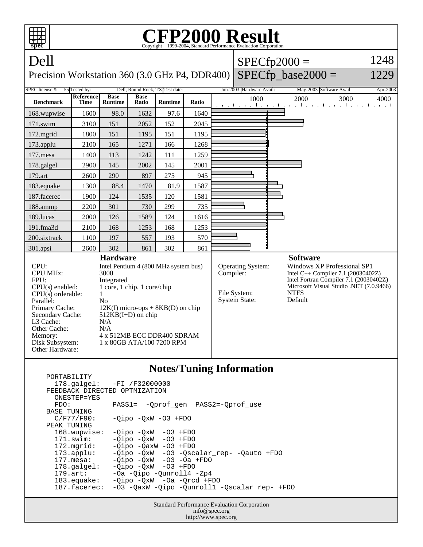

| FEEDBACK DIRECTED OPTMIZATION<br>ONESTEP=YES | $178.\text{qalgel}: -FI /F32000000$          |
|----------------------------------------------|----------------------------------------------|
| FDO:                                         | PASS1= -Oprof gen PASS2=-Oprof use           |
| <b>BASE TUNING</b>                           |                                              |
| C/F77/F90:                                   | $-Oipo -OXW -O3 + FDO$                       |
| PEAK TUNING                                  |                                              |
| 168.wupwise:                                 | $-Oipo -OXW -O3 + FDO$                       |
| 171.swim:                                    | $-Oipo$ $-OxW$ $-O3$ $+FDO$                  |
| $172.\text{mgrid}:$                          | $-Oipo$ $-OaxW$ $-O3$ $+FDO$                 |
| $173.\text{applu}:$                          | -Qipo -QxW -03 -Qscalar_rep- -Qauto +FDO     |
| $177.\text{mesa}$ :                          | $-Oipo$ $-OxW$ $-O3$ $-Oa$ $+FDO$            |
| $178.\text{qalgel}$ :                        | $-Oipo$ $-OxW$ $-O3$ $+FDO$                  |
| $179.\text{art}:$                            | -Oa -Oipo -Ounroll4 -Zp4                     |
| 183.equake:                                  | $-Oipo$ $-OxW$ $-Oa$ $-Orcd$ $+FDO$          |
| 187.facerec:                                 | -03 -OaxW -Oipo -Ounroll1 -Oscalar rep- +FDO |
|                                              |                                              |
|                                              |                                              |

Standard Performance Evaluation Corporation info@spec.org http://www.spec.org